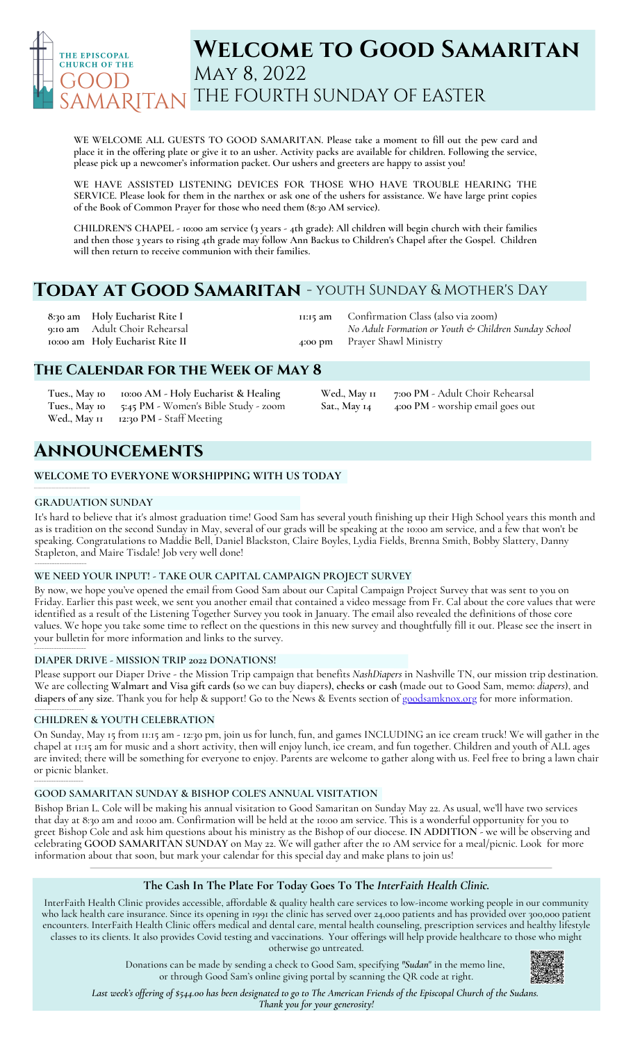

# **Welcome to Good Samaritan** May 8, 2022 THE FOURTH SUNDAY OF EASTER

**WE WELCOME ALL GUESTS TO GOOD SAMARITAN. Please take a moment to fill out the pew card and** place it in the offering plate or give it to an usher. Activity packs are available for children. Following the service, **please pick up a newcomer's information packet. Our ushers and greeters are happy to assist you!**

**WE HAVE ASSISTED LISTENING DEVICES FOR THOSE WHO HAVE TROUBLE HEARING THE** SERVICE. Please look for them in the narthex or ask one of the ushers for assistance. We have large print copies **of the Book of Common Prayer for those who need them (8:30 AM service).**

CHILDREN'S CHAPEL - 10:00 am service (3 years - 4th grade): All children will begin church with their families and then those 3 years to rising 4th grade may follow Ann Backus to Children's Chapel after the Gospel. Children **will then return to receive communion with their families.**

# **Today at Good Samaritan** - youth Sunday & Mother's Day

**8:30 am 9:10 am 10:00 am Holy Eucharist Rite II Holy Eucharist Rite I** Adult Choir Rehearsal **11:15 am 4:00 pm** Confirmation Class (also via zoom) *No Adult Formation or Youth & Children Sunday School* Prayer Shawl Ministry

# **The Calendar for the Week of May 8**

**Tues., May 10 10:00 AM - Holy Eucharist & Healing Tues., May 10 5:45 PM -** Women's Bible Study - zoom **Wed., May 11 12:30 PM -** Staff Meeting

**Wed., May 11 7:00 PM** - Adult Choir Rehearsal **Sat., May 14 4:00 PM** - worship email goes out

# **Announcements**

# **WELCOME TO EVERYONE WORSHIPPING WITH US TODAY**

## **GRADUATION SUNDAY**

\_<br>\_\_\_\_\_\_\_\_\_\_\_\_\_\_\_\_\_\_\_\_\_\_\_\_\_\_\_\_\_

**\_\_\_\_\_\_\_\_\_\_\_\_\_\_\_\_\_\_\_\_\_\_\_\_\_\_\_\_\_\_\_\_\_\_**

\_\_\_\_\_\_\_\_\_\_\_\_\_\_\_\_\_\_\_\_

\_\_\_\_\_\_\_\_\_\_\_\_\_\_\_\_\_\_\_\_\_\_\_

\_\_\_\_\_\_\_\_\_\_\_\_\_\_\_\_\_\_\_\_

It's hard to believe that it's almost graduation time! Good Sam has several youth finishing up their High School years this month and as is tradition on the second Sunday in May, several of our grads will be speaking at the 10:00 am service, and a few that won't be speaking. Congratulations to Maddie Bell, Daniel Blackston, Claire Boyles, Lydia Fields, Brenna Smith, Bobby Slattery, Danny Stapleton, and Maire Tisdale! Job very well done!

## **WE NEED YOUR INPUT! - TAKE OUR CAPITAL CAMPAIGN PROJECT SURVEY**

By now, we hope you've opened the email from Good Sam about our Capital Campaign Project Survey that was sent to you on Friday. Earlier this past week, we sent you another email that contained a video message from Fr. Cal about the core values that were identified as a result of the Listening Together Survey you took in January. The email also revealed the definitions of those core values. We hope you take some time to reflect on the questions in this new survey and thoughtfully fill it out. Please see the insert in your bulletin for more information and links to the survey.

## **DIAPER DRIVE - MISSION TRIP 2022 DONATIONS!**

Please support our Diaper Drive - the Mission Trip campaign that benefits *NashDiapers* in Nashville TN, our mission trip destination. We are collecting **Walmart and Visa gift cards (**so we can buy diapers**), checks or cash** (made out to Good Sam, memo: *diapers*), and **diapers of any size**. Thank you for help & support! Go to the News & Events section of [goodsamknox.org](http://www.goodsamknox.org/) for more information.

## **CHILDREN & YOUTH CELEBRATION**

On Sunday, May 15 from 11:15 am - 12:30 pm, join us for lunch, fun, and games INCLUDING an ice cream truck! We will gather in the chapel at 11:15 am for music and a short activity, then will enjoy lunch, ice cream, and fun together. Children and youth of ALL ages are invited; there will be something for everyone to enjoy. Parents are welcome to gather along with us. Feel free to bring a lawn chair or picnic blanket.

## **GOOD SAMARITAN SUNDAY & BISHOP COLE'S ANNUAL VISITATION**

Bishop Brian L. Cole will be making his annual visitation to Good Samaritan on Sunday May 22. As usual, we'll have two services that day at 8:30 am and 10:00 am. Confirmation will be held at the 10:00 am service. This is a wonderful opportunity for you to greet Bishop Cole and ask him questions about his ministry as the Bishop of our diocese. **IN ADDITION** - we will be observing and celebrating **GOOD SAMARITAN SUNDAY** on May 22. We will gather after the 10 AM service for a meal/picnic. Look for more information about that soon, but mark your calendar for this special day and make plans to join us!

## **The Cash In The Plate For Today Goes To The** *InterFaith Health Clinic.*

InterFaith Health Clinic provides accessible, affordable & quality health care services to low-income working people in our community who lack health care insurance. Since its opening in 1991 the clinic has served over 24,000 patients and has provided over 300,000 patient encounters. InterFaith Health Clinic offers medical and dental care, mental health counseling, prescription services and healthy lifestyle classes to its clients. It also provides Covid testing and vaccinations. Your offerings will help provide healthcare to those who might otherwise go untreated.

> Donations can be made by sending a check to Good Sam, specifying *"Sudan*" in the memo line, or through Good Sam's online giving portal by scanning the QR code at right.

Last week's offering of \$544.00 has been designated to go to The American Friends of the Episcopal Church of the Sudans. *Thank you for your generosity!*